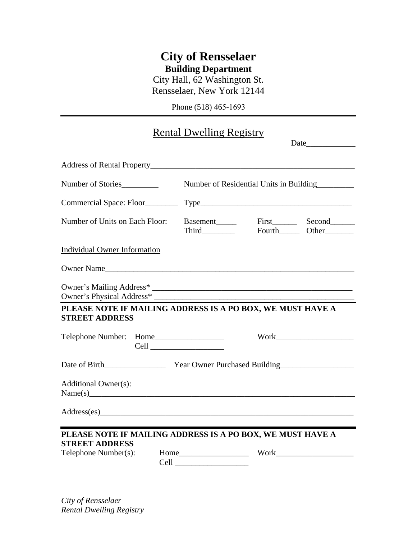## **City of Rensselaer Building Department**

City Hall, 62 Washington St. Rensselaer, New York 12144

Phone (518) 465-1693

## Rental Dwelling Registry

| Address of Rental Property Manual Address of Rental Property                        |                      |                                         |  |  |
|-------------------------------------------------------------------------------------|----------------------|-----------------------------------------|--|--|
| Number of Stories                                                                   |                      | Number of Residential Units in Building |  |  |
|                                                                                     |                      |                                         |  |  |
| Number of Units on Each Floor:                                                      |                      | Basement First Second                   |  |  |
| <b>Individual Owner Information</b>                                                 |                      |                                         |  |  |
| Owner Name                                                                          |                      |                                         |  |  |
|                                                                                     |                      |                                         |  |  |
| PLEASE NOTE IF MAILING ADDRESS IS A PO BOX, WE MUST HAVE A<br><b>STREET ADDRESS</b> |                      |                                         |  |  |
|                                                                                     |                      |                                         |  |  |
|                                                                                     |                      |                                         |  |  |
| Additional Owner(s):<br>Name(s)                                                     |                      |                                         |  |  |
|                                                                                     |                      |                                         |  |  |
| PLEASE NOTE IF MAILING ADDRESS IS A PO BOX, WE MUST HAVE A                          |                      |                                         |  |  |
| <b>STREET ADDRESS</b><br>Telephone Number(s):                                       | Cell <u>contract</u> |                                         |  |  |

*City of Rensselaer Rental Dwelling Registry*